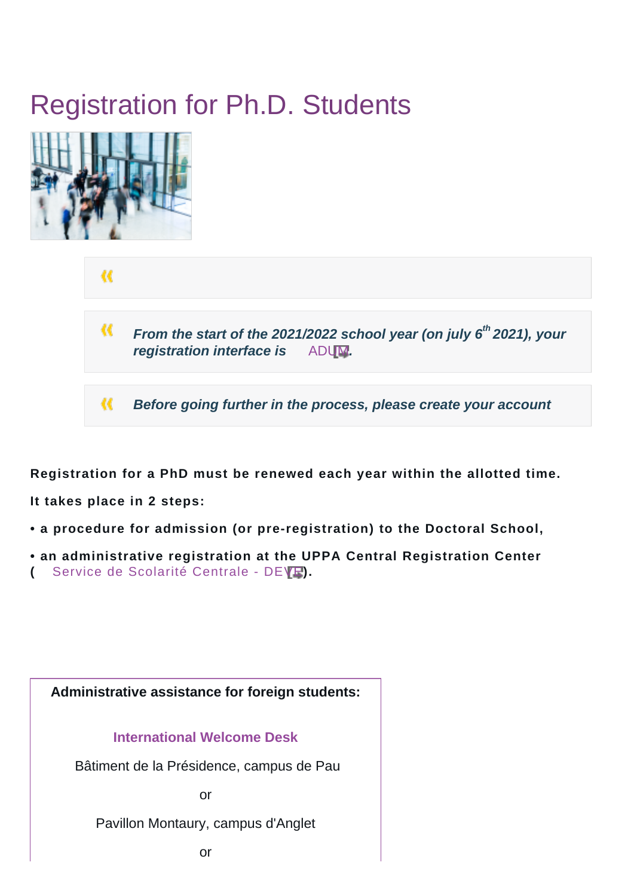# Registration for Ph.D. Students



«

 $\alpha$ **From the start of the 2021/2022 school year (on july 6th 2021), your** *registration interface is* [ADUM](http://www.adum.fr).

« **Before going further in the process, please create your account**

**Registration for a PhD must be renewed each year within the allotted time.**

**It takes place in 2 steps:** 

- **a procedure for admission (or pre-registration) to the Doctoral School,**
- **an administrative registration at the UPPA Central Registration Center**
- **(** [Service de Scolarité Centrale DEVE](https://formation.univ-pau.fr/fr/scolarite/contacts-scolarites-et-enseignement/deve-pole-inscription-central.html)**).**

**Administrative assistance for foreign students: [International Welcome Desk](https://ri.univ-pau.fr/fr/international-welcome-desk.html)** Bâtiment de la Présidence, campus de Pau or Pavillon Montaury, campus d'Anglet

or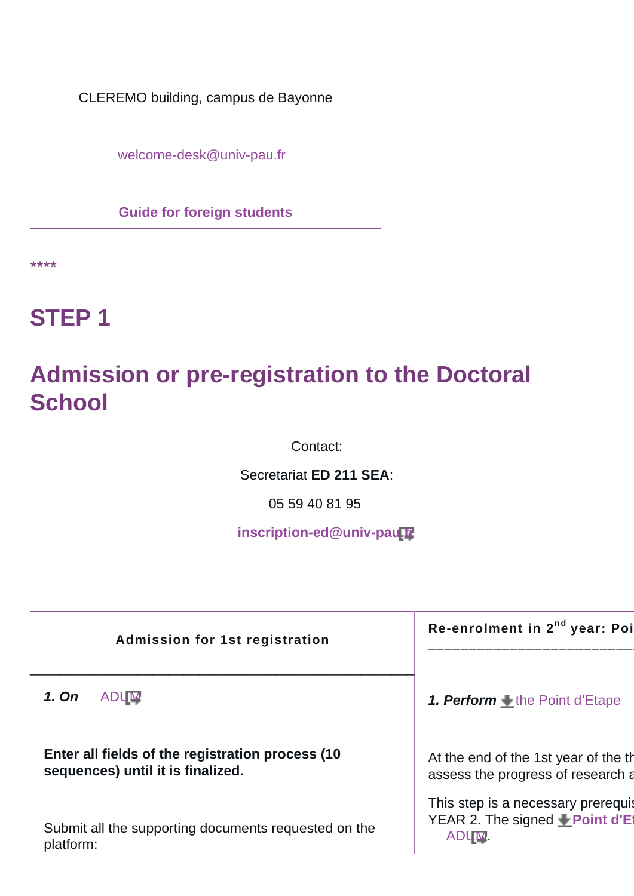CLEREMO building, campus de Bayonne

[welcome-desk@univ-pau.fr](mailto:welcome-desk@univ-pau.fr)

**[Guide for foreign students](https://ri.univ-pau.fr/fr/venir-a-l-universite/infos-pratiques.html)**

\*\*\*\*

## **STEP 1**

### **Admission or pre-registration to the Doctoral School**

Contact:

Secretariat **ED 211 SEA**:

05 59 40 81 95

**[inscription-ed@univ-pau.fr](mailto:inscription-ed@univ-pau.fr)** 

| Admission for 1st registration                                                         | Re-enrolment in 2 <sup>nd</sup> year: Poi                                    |
|----------------------------------------------------------------------------------------|------------------------------------------------------------------------------|
| 1. On<br><b>ADUM</b>                                                                   | 1. <b>Perform</b> $\textcolor{red}{\bigstar}$ the Point d'Etape              |
| Enter all fields of the registration process (10)<br>sequences) until it is finalized. | At the end of the 1st year of the the<br>assess the progress of research a   |
| Submit all the supporting documents requested on the<br>platform:                      | This step is a necessary prerequis<br>YEAR 2. The signed Point d'Et<br>ADUM. |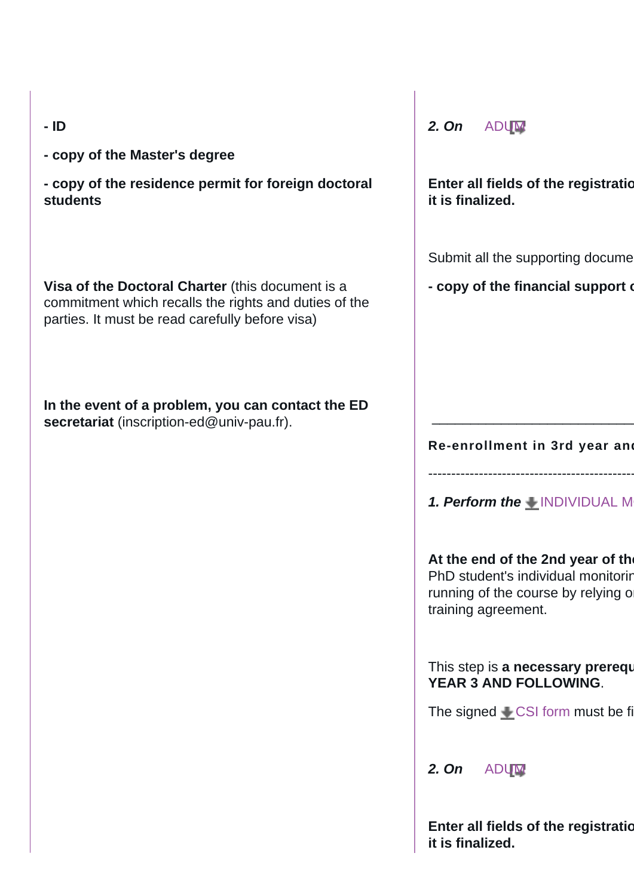| ۰.<br>۰. |
|----------|

**- copy of the Master's degree**

**- copy of the residence permit for foreign doctoral students**

**Visa of the Doctoral Charter** (this document is a commitment which recalls the rights and duties of the parties. It must be read carefully before visa)

**In the event of a problem, you can contact the ED secretariat** (inscription-ed@univ-pau.fr).

**2. On** [ADUM](http://www.adum.fr)

**Enter all fields of the registration it is finalized.**

Submit all the supporting docume

**- copy of the financial support of** 

**Re-enrollment in 3rd year and** 

 $\overline{\phantom{a}}$  , which is a set of the set of the set of the set of the set of the set of the set of the set of the set of the set of the set of the set of the set of the set of the set of the set of the set of the set of th

**1. Perform the** INDIVIDUAL M

----------------------------------------------

At the end of the 2nd year of the PhD student's individual monitoring running of the course by relying o training agreement.

This step is **a necessary prerequent YEAR 3 AND FOLLOWING**.

The signed  $\triangle$  [CSI form](https://ed-sea.univ-pau.fr/_attachments/registration-for-ph-d-s-students-article/CSI%252520ED%252520211.doc?download=true) must be fi

**2. On** [ADUM](http://www.adum.fr)

**Enter all fields of the registration it is finalized.**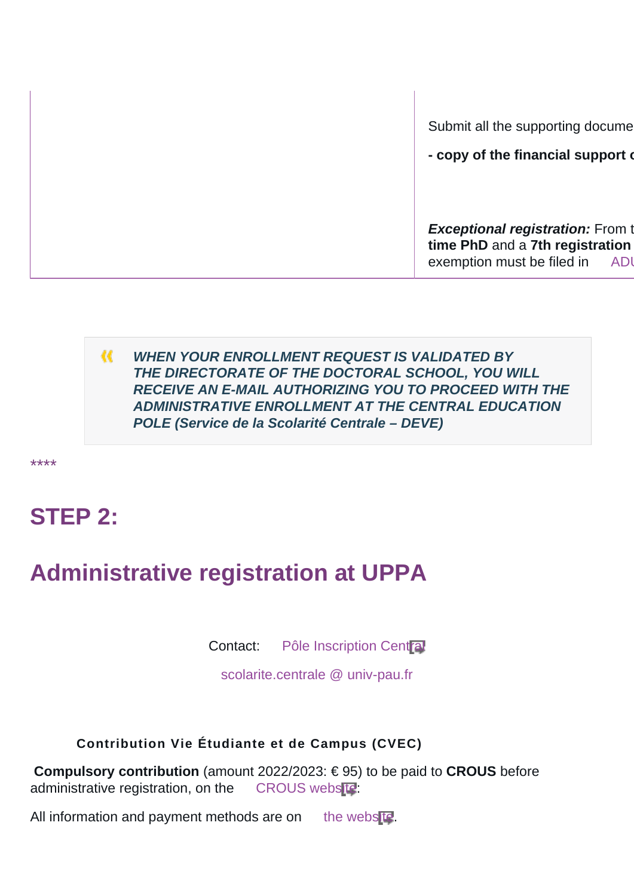Submit all the supporting docume

**- copy of the financial support of** 

**Exceptional registration:** From the **4 time PhD and a 7th registration** exemption must be filed in ADI

M. **WHEN YOUR ENROLLMENT REQUEST IS VALIDATED BY THE DIRECTORATE OF THE DOCTORAL SCHOOL, YOU WILL RECEIVE AN E-MAIL AUTHORIZING YOU TO PROCEED WITH THE ADMINISTRATIVE ENROLLMENT AT THE CENTRAL EDUCATION POLE (Service de la Scolarité Centrale – DEVE)**

\*\*\*\*

### **STEP 2:**

### **Administrative registration at UPPA**

Contact: [Pôle Inscription Central](https://formation.univ-pau.fr/fr/organisation/scolarites-et-enseignement/deve-pole-inscription-central.html)

[scolarite.centrale @ univ-pau.fr](mailto:scolarite.centrale@univ-pau.fr)

 **Contribution Vie Étudiante et de Campus (CVEC)**

**Compulsory contribution** (amount 2022/2023: € 95) to be paid to **CROUS** before administrative registration, on the [CROUS website](http://cvec.etudiant.gouv.fr):

All information and payment methods are on [the website.](https://cvec.etudiant.gouv.fr/)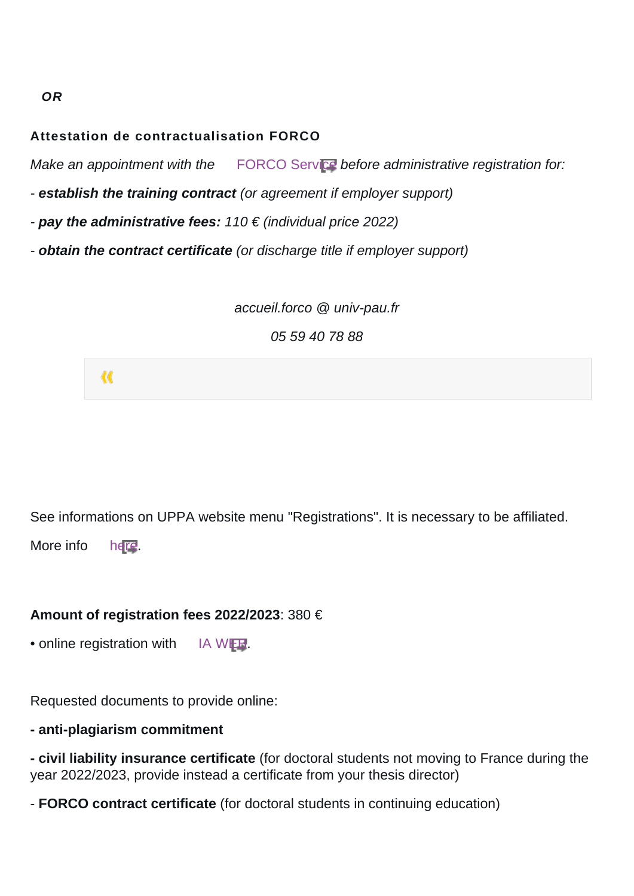#### **Attestation de contractualisation FORCO**

Make an appointment with the [FORCO Service](https://forco.univ-pau.fr/fr/index.html) before administrative registration for:

- **establish the training contract** (or agreement if employer support)

- **pay the administrative fees:** 110 € (individual price 2022)
- **obtain the contract certificate** (or discharge title if employer support)

accueil.forco @ univ-pau.fr

05 59 40 78 88



See informations on UPPA website menu "Registrations". It is necessary to be affiliated.

More info [here](https://formation.univ-pau.fr/fr/inscription/securite-sociale-cpam.html).

#### **Amount of registration fees 2022/2023**: 380 €

• online registration with [IA WEB.](https://formation.univ-pau.fr/fr/inscription/inscription-en-ligne.html)

Requested documents to provide online:

#### **- anti-plagiarism commitment**

**- civil liability insurance certificate** (for doctoral students not moving to France during the year 2022/2023, provide instead a certificate from your thesis director)

- **FORCO contract certificate** (for doctoral students in continuing education)